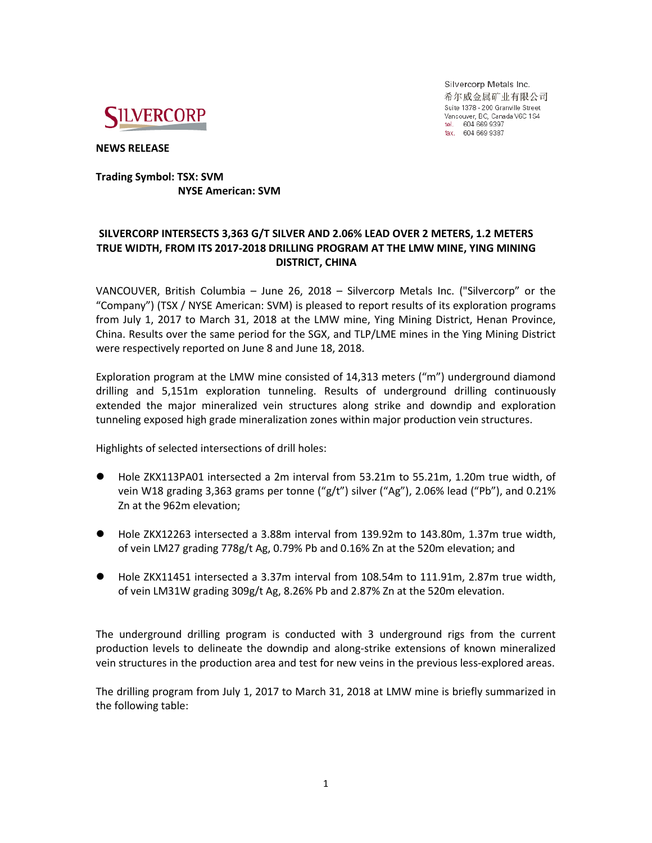

Silvercorp Metals Inc. 希尔威金属矿业有限公司 Suite 1378 - 200 Granville Street Vancouver, BC, Canada V6C 1S4 tel. 604 669 9397<br>fax. 604 669 9397

**NEWS RELEASE**

## **Trading Symbol: TSX: SVM NYSE American: SVM**

# **SILVERCORP INTERSECTS 3,363 G/T SILVER AND 2.06% LEAD OVER 2 METERS, 1.2 METERS TRUE WIDTH, FROM ITS 2017-2018 DRILLING PROGRAM AT THE LMW MINE, YING MINING DISTRICT, CHINA**

VANCOUVER, British Columbia – June 26, 2018 – Silvercorp Metals Inc. ("Silvercorp" or the "Company") (TSX / NYSE American: SVM) is pleased to report results of its exploration programs from July 1, 2017 to March 31, 2018 at the LMW mine, Ying Mining District, Henan Province, China. Results over the same period for the SGX, and TLP/LME mines in the Ying Mining District were respectively reported on June 8 and June 18, 2018.

Exploration program at the LMW mine consisted of 14,313 meters ("m") underground diamond drilling and 5,151m exploration tunneling. Results of underground drilling continuously extended the major mineralized vein structures along strike and downdip and exploration tunneling exposed high grade mineralization zones within major production vein structures.

Highlights of selected intersections of drill holes:

- Hole ZKX113PA01 intersected a 2m interval from 53.21m to 55.21m, 1.20m true width, of vein W18 grading 3,363 grams per tonne ("g/t") silver ("Ag"), 2.06% lead ("Pb"), and 0.21% Zn at the 962m elevation;
- Hole ZKX12263 intersected a 3.88m interval from 139.92m to 143.80m, 1.37m true width, of vein LM27 grading 778g/t Ag, 0.79% Pb and 0.16% Zn at the 520m elevation; and
- Hole ZKX11451 intersected a 3.37m interval from 108.54m to 111.91m, 2.87m true width, of vein LM31W grading 309g/t Ag, 8.26% Pb and 2.87% Zn at the 520m elevation.

The underground drilling program is conducted with 3 underground rigs from the current production levels to delineate the downdip and along-strike extensions of known mineralized vein structures in the production area and test for new veins in the previous less-explored areas.

The drilling program from July 1, 2017 to March 31, 2018 at LMW mine is briefly summarized in the following table: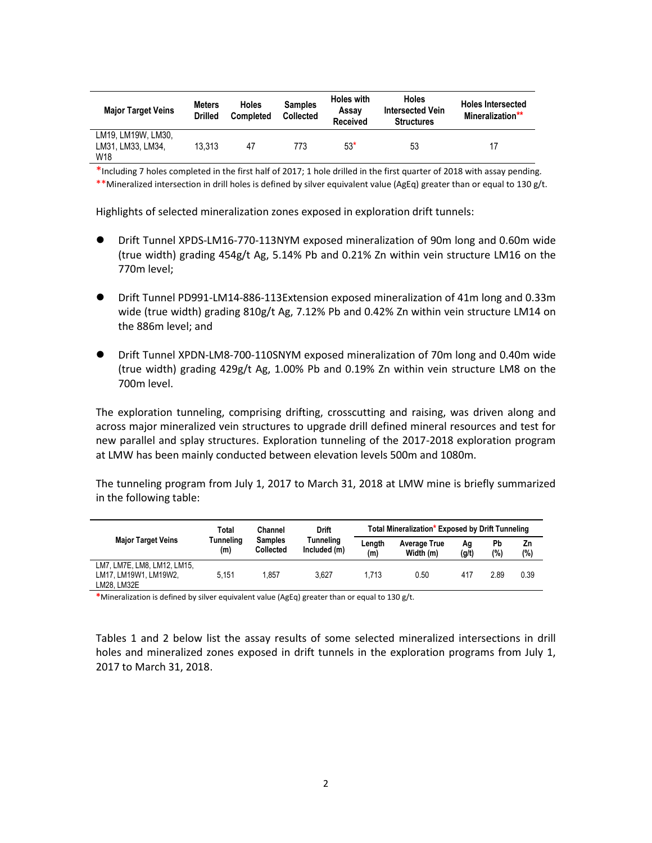| <b>Major Target Veins</b>                      | <b>Meters</b><br><b>Drilled</b> | <b>Holes</b><br><b>Completed</b> | <b>Holes with</b><br><b>Samples</b><br>Assav<br><b>Collected</b><br><b>Received</b> |       | <b>Holes</b><br><b>Intersected Vein</b><br><b>Structures</b> | <b>Holes Intersected</b><br>Mineralization** |  |
|------------------------------------------------|---------------------------------|----------------------------------|-------------------------------------------------------------------------------------|-------|--------------------------------------------------------------|----------------------------------------------|--|
| LM19. LM19W. LM30.<br>LM31, LM33, LM34,<br>W18 | 13.313                          | 47                               | 773                                                                                 | $53*$ | 53                                                           | 17                                           |  |

\*Including 7 holes completed in the first half of 2017; 1 hole drilled in the first quarter of 2018 with assay pending. \*\*Mineralized intersection in drill holes is defined by silver equivalent value (AgEq) greater than or equal to 130 g/t.

Highlights of selected mineralization zones exposed in exploration drift tunnels:

- Drift Tunnel XPDS-LM16-770-113NYM exposed mineralization of 90m long and 0.60m wide (true width) grading 454g/t Ag, 5.14% Pb and 0.21% Zn within vein structure LM16 on the 770m level;
- Drift Tunnel PD991-LM14-886-113Extension exposed mineralization of 41m long and 0.33m wide (true width) grading 810g/t Ag, 7.12% Pb and 0.42% Zn within vein structure LM14 on the 886m level; and
- Drift Tunnel XPDN-LM8-700-110SNYM exposed mineralization of 70m long and 0.40m wide (true width) grading 429g/t Ag, 1.00% Pb and 0.19% Zn within vein structure LM8 on the 700m level.

The exploration tunneling, comprising drifting, crosscutting and raising, was driven along and across major mineralized vein structures to upgrade drill defined mineral resources and test for new parallel and splay structures. Exploration tunneling of the 2017-2018 exploration program at LMW has been mainly conducted between elevation levels 500m and 1080m.

The tunneling program from July 1, 2017 to March 31, 2018 at LMW mine is briefly summarized in the following table:

|                                                                     | Total<br>Tunneling<br>(m) | Channel<br><b>Samples</b><br><b>Collected</b> | <b>Drift</b><br>Tunnelina<br>Included (m) | Total Mineralization* Exposed by Drift Tunneling |                                  |             |           |           |
|---------------------------------------------------------------------|---------------------------|-----------------------------------------------|-------------------------------------------|--------------------------------------------------|----------------------------------|-------------|-----------|-----------|
| <b>Major Target Veins</b>                                           |                           |                                               |                                           | Length<br>(m)                                    | <b>Average True</b><br>Width (m) | Αa<br>(g/t) | Pb<br>(%) | Ζn<br>(%) |
| LM7, LM7E, LM8, LM12, LM15,<br>LM17. LM19W1. LM19W2.<br>LM28. LM32E | 5.151                     | 1.857                                         | 3.627                                     | 1.713                                            | 0.50                             | 417         | 2.89      | 0.39      |

**\***Mineralization is defined by silver equivalent value (AgEq) greater than or equal to 130 g/t.

Tables 1 and 2 below list the assay results of some selected mineralized intersections in drill holes and mineralized zones exposed in drift tunnels in the exploration programs from July 1, 2017 to March 31, 2018.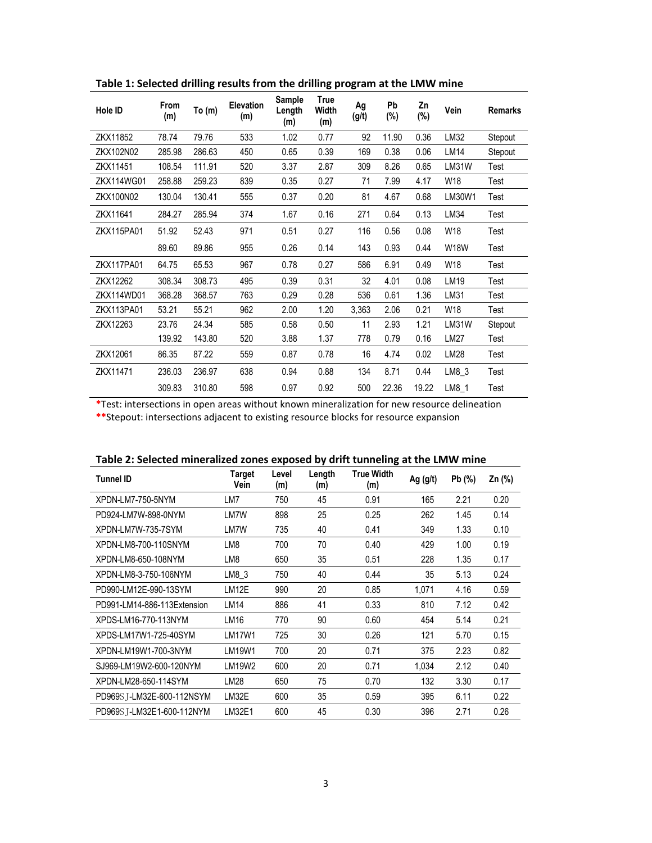| Hole ID    | From<br>(m) | To $(m)$ | Elevation<br>(m) | Sample<br>Length<br>(m) | True<br><b>Width</b><br>(m) | Ag<br>(g/t) | Pb<br>(%) | Zn<br>(%) | Vein        | <b>Remarks</b> |
|------------|-------------|----------|------------------|-------------------------|-----------------------------|-------------|-----------|-----------|-------------|----------------|
| ZKX11852   | 78.74       | 79.76    | 533              | 1.02                    | 0.77                        | 92          | 11.90     | 0.36      | LM32        | Stepout        |
| ZKX102N02  | 285.98      | 286.63   | 450              | 0.65                    | 0.39                        | 169         | 0.38      | 0.06      | LM14        | Stepout        |
| ZKX11451   | 108.54      | 111.91   | 520              | 3.37                    | 2.87                        | 309         | 8.26      | 0.65      | LM31W       | Test           |
| ZKX114WG01 | 258.88      | 259.23   | 839              | 0.35                    | 0.27                        | 71          | 7.99      | 4.17      | W18         | Test           |
| ZKX100N02  | 130.04      | 130.41   | 555              | 0.37                    | 0.20                        | 81          | 4.67      | 0.68      | LM30W1      | Test           |
| ZKX11641   | 284.27      | 285.94   | 374              | 1.67                    | 0.16                        | 271         | 0.64      | 0.13      | LM34        | Test           |
| ZKX115PA01 | 51.92       | 52.43    | 971              | 0.51                    | 0.27                        | 116         | 0.56      | 0.08      | W18         | Test           |
|            | 89.60       | 89.86    | 955              | 0.26                    | 0.14                        | 143         | 0.93      | 0.44      | <b>W18W</b> | Test           |
| ZKX117PA01 | 64.75       | 65.53    | 967              | 0.78                    | 0.27                        | 586         | 6.91      | 0.49      | W18         | Test           |
| ZKX12262   | 308.34      | 308.73   | 495              | 0.39                    | 0.31                        | 32          | 4.01      | 0.08      | LM19        | Test           |
| ZKX114WD01 | 368.28      | 368.57   | 763              | 0.29                    | 0.28                        | 536         | 0.61      | 1.36      | LM31        | Test           |
| ZKX113PA01 | 53.21       | 55.21    | 962              | 2.00                    | 1.20                        | 3,363       | 2.06      | 0.21      | W18         | Test           |
| ZKX12263   | 23.76       | 24.34    | 585              | 0.58                    | 0.50                        | 11          | 2.93      | 1.21      | LM31W       | Stepout        |
|            | 139.92      | 143.80   | 520              | 3.88                    | 1.37                        | 778         | 0.79      | 0.16      | LM27        | Test           |
| ZKX12061   | 86.35       | 87.22    | 559              | 0.87                    | 0.78                        | 16          | 4.74      | 0.02      | LM28        | Test           |
| ZKX11471   | 236.03      | 236.97   | 638              | 0.94                    | 0.88                        | 134         | 8.71      | 0.44      | $LM8_3$     | Test           |
|            | 309.83      | 310.80   | 598              | 0.97                    | 0.92                        | 500         | 22.36     | 19.22     | LM8 1       | Test           |

**Table 1: Selected drilling results from the drilling program at the LMW mine**

**\***Test: intersections in open areas without known mineralization for new resource delineation **\*\***Stepout: intersections adjacent to existing resource blocks for resource expansion

| Table 2: Selected mineralized zones exposed by drift tunneling at the Livity mine |                |              |               |                          |            |       |        |  |
|-----------------------------------------------------------------------------------|----------------|--------------|---------------|--------------------------|------------|-------|--------|--|
| <b>Tunnel ID</b>                                                                  | Target<br>Vein | Level<br>(m) | Length<br>(m) | <b>True Width</b><br>(m) | Ag $(g/t)$ | Pb(%) | Zn (%) |  |
| XPDN-LM7-750-5NYM                                                                 | LM7            | 750          | 45            | 0.91                     | 165        | 2.21  | 0.20   |  |
| PD924-LM7W-898-0NYM                                                               | LM7W           | 898          | 25            | 0.25                     | 262        | 1.45  | 0.14   |  |
| XPDN-LM7W-735-7SYM                                                                | LM7W           | 735          | 40            | 0.41                     | 349        | 1.33  | 0.10   |  |
| XPDN-LM8-700-110SNYM                                                              | LM8            | 700          | 70            | 0.40                     | 429        | 1.00  | 0.19   |  |
| XPDN-LM8-650-108NYM                                                               | LM8            | 650          | 35            | 0.51                     | 228        | 1.35  | 0.17   |  |
| XPDN-LM8-3-750-106NYM                                                             | LM8 3          | 750          | 40            | 0.44                     | 35         | 5.13  | 0.24   |  |
| PD990-LM12E-990-13SYM                                                             | LM12E          | 990          | 20            | 0.85                     | 1.071      | 4.16  | 0.59   |  |
| PD991-LM14-886-113Extension                                                       | LM14           | 886          | 41            | 0.33                     | 810        | 7.12  | 0.42   |  |
| XPDS-LM16-770-113NYM                                                              | LM16           | 770          | 90            | 0.60                     | 454        | 5.14  | 0.21   |  |
| XPDS-LM17W1-725-40SYM                                                             | LM17W1         | 725          | 30            | 0.26                     | 121        | 5.70  | 0.15   |  |
| XPDN-LM19W1-700-3NYM                                                              | LM19W1         | 700          | 20            | 0.71                     | 375        | 2.23  | 0.82   |  |
| SJ969-LM19W2-600-120NYM                                                           | LM19W2         | 600          | 20            | 0.71                     | 1.034      | 2.12  | 0.40   |  |
| XPDN-LM28-650-114SYM                                                              | LM28           | 650          | 75            | 0.70                     | 132        | 3.30  | 0.17   |  |
| PD969S T-LM32E-600-112NSYM                                                        | LM32E          | 600          | 35            | 0.59                     | 395        | 6.11  | 0.22   |  |
| PD969S T-LM32E1-600-112NYM                                                        | LM32E1         | 600          | 45            | 0.30                     | 396        | 2.71  | 0.26   |  |

**Table 2: Selected mineralized zones exposed by drift tunneling at the LMW mine**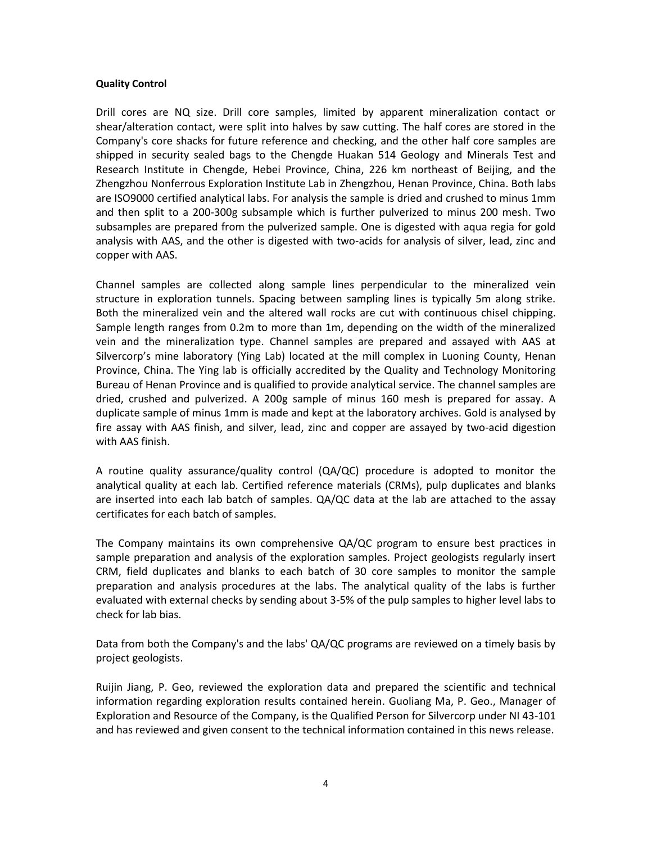## **Quality Control**

Drill cores are NQ size. Drill core samples, limited by apparent mineralization contact or shear/alteration contact, were split into halves by saw cutting. The half cores are stored in the Company's core shacks for future reference and checking, and the other half core samples are shipped in security sealed bags to the Chengde Huakan 514 Geology and Minerals Test and Research Institute in Chengde, Hebei Province, China, 226 km northeast of Beijing, and the Zhengzhou Nonferrous Exploration Institute Lab in Zhengzhou, Henan Province, China. Both labs are ISO9000 certified analytical labs. For analysis the sample is dried and crushed to minus 1mm and then split to a 200-300g subsample which is further pulverized to minus 200 mesh. Two subsamples are prepared from the pulverized sample. One is digested with aqua regia for gold analysis with AAS, and the other is digested with two-acids for analysis of silver, lead, zinc and copper with AAS.

Channel samples are collected along sample lines perpendicular to the mineralized vein structure in exploration tunnels. Spacing between sampling lines is typically 5m along strike. Both the mineralized vein and the altered wall rocks are cut with continuous chisel chipping. Sample length ranges from 0.2m to more than 1m, depending on the width of the mineralized vein and the mineralization type. Channel samples are prepared and assayed with AAS at Silvercorp's mine laboratory (Ying Lab) located at the mill complex in Luoning County, Henan Province, China. The Ying lab is officially accredited by the Quality and Technology Monitoring Bureau of Henan Province and is qualified to provide analytical service. The channel samples are dried, crushed and pulverized. A 200g sample of minus 160 mesh is prepared for assay. A duplicate sample of minus 1mm is made and kept at the laboratory archives. Gold is analysed by fire assay with AAS finish, and silver, lead, zinc and copper are assayed by two-acid digestion with AAS finish.

A routine quality assurance/quality control (QA/QC) procedure is adopted to monitor the analytical quality at each lab. Certified reference materials (CRMs), pulp duplicates and blanks are inserted into each lab batch of samples. QA/QC data at the lab are attached to the assay certificates for each batch of samples.

The Company maintains its own comprehensive QA/QC program to ensure best practices in sample preparation and analysis of the exploration samples. Project geologists regularly insert CRM, field duplicates and blanks to each batch of 30 core samples to monitor the sample preparation and analysis procedures at the labs. The analytical quality of the labs is further evaluated with external checks by sending about 3-5% of the pulp samples to higher level labs to check for lab bias.

Data from both the Company's and the labs' QA/QC programs are reviewed on a timely basis by project geologists.

Ruijin Jiang, P. Geo, reviewed the exploration data and prepared the scientific and technical information regarding exploration results contained herein. Guoliang Ma, P. Geo., Manager of Exploration and Resource of the Company, is the Qualified Person for Silvercorp under NI 43-101 and has reviewed and given consent to the technical information contained in this news release.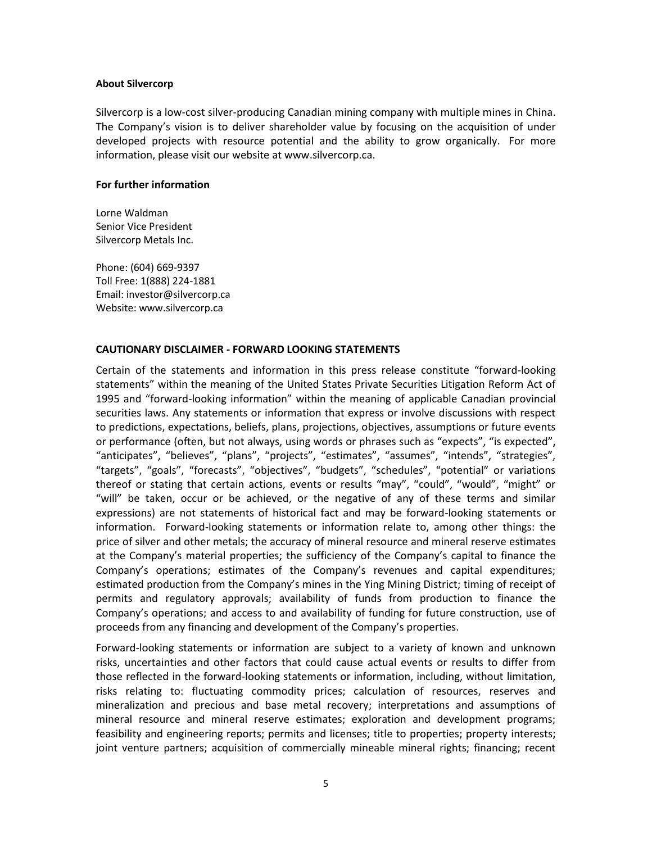#### **About Silvercorp**

Silvercorp is a low-cost silver-producing Canadian mining company with multiple mines in China. The Company's vision is to deliver shareholder value by focusing on the acquisition of under developed projects with resource potential and the ability to grow organically. For more information, please visit our website at www.silvercorp.ca.

## **For further information**

Lorne Waldman Senior Vice President Silvercorp Metals Inc.

Phone: (604) 669-9397 Toll Free: 1(888) 224-1881 Email: investor@silvercorp.ca Website: www.silvercorp.ca

#### **CAUTIONARY DISCLAIMER - FORWARD LOOKING STATEMENTS**

Certain of the statements and information in this press release constitute "forward-looking statements" within the meaning of the United States Private Securities Litigation Reform Act of 1995 and "forward-looking information" within the meaning of applicable Canadian provincial securities laws. Any statements or information that express or involve discussions with respect to predictions, expectations, beliefs, plans, projections, objectives, assumptions or future events or performance (often, but not always, using words or phrases such as "expects", "is expected", "anticipates", "believes", "plans", "projects", "estimates", "assumes", "intends", "strategies", "targets", "goals", "forecasts", "objectives", "budgets", "schedules", "potential" or variations thereof or stating that certain actions, events or results "may", "could", "would", "might" or "will" be taken, occur or be achieved, or the negative of any of these terms and similar expressions) are not statements of historical fact and may be forward-looking statements or information. Forward-looking statements or information relate to, among other things: the price of silver and other metals; the accuracy of mineral resource and mineral reserve estimates at the Company's material properties; the sufficiency of the Company's capital to finance the Company's operations; estimates of the Company's revenues and capital expenditures; estimated production from the Company's mines in the Ying Mining District; timing of receipt of permits and regulatory approvals; availability of funds from production to finance the Company's operations; and access to and availability of funding for future construction, use of proceeds from any financing and development of the Company's properties.

Forward-looking statements or information are subject to a variety of known and unknown risks, uncertainties and other factors that could cause actual events or results to differ from those reflected in the forward-looking statements or information, including, without limitation, risks relating to: fluctuating commodity prices; calculation of resources, reserves and mineralization and precious and base metal recovery; interpretations and assumptions of mineral resource and mineral reserve estimates; exploration and development programs; feasibility and engineering reports; permits and licenses; title to properties; property interests; joint venture partners; acquisition of commercially mineable mineral rights; financing; recent